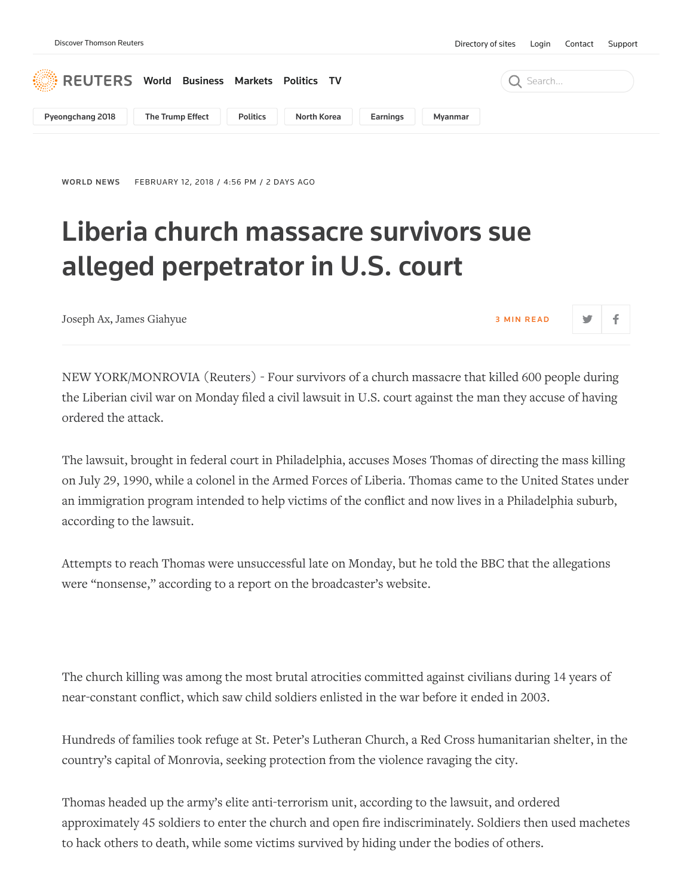

[WORLD](https://www.reuters.com/news/archive/worldNews) NEWS FEBRUARY 12, 2018 / 4:56 PM / 2 DAYS AGO

## Liberia church massacre survivors sue alleged perpetrator in U.S. court

[Joseph Ax](https://www.reuters.com/journalists/joseph-ax), [James Giahyue](https://www.reuters.com/journalists/james-giahyue) 3 M I N READ

NEW YORK/MONROVIA (Reuters) - Four survivors of a church massacre that killed 600 people during the Liberian civil war on Monday filed a civil lawsuit in U.S. court against the man they accuse of having ordered the attack.

The lawsuit, brought in federal court in Philadelphia, accuses Moses Thomas of directing the mass killing on July 29, 1990, while a colonel in the Armed Forces of Liberia. Thomas came to the United States under an immigration program intended to help victims of the conflict and now lives in a Philadelphia suburb, according to the lawsuit.

Attempts to reach Thomas were unsuccessful late on Monday, but he told the BBC that the allegations were "nonsense," according to a report on the broadcaster's website.

The church killing was among the most brutal atrocities committed against civilians during 14 years of near-constant conflict, which saw child soldiers enlisted in the war before it ended in 2003.

Hundreds of families took refuge at St. Peter's Lutheran Church, a Red Cross humanitarian shelter, in the country's capital of Monrovia, seeking protection from the violence ravaging the city.

Thomas headed up the army's elite anti-terrorism unit, according to the lawsuit, and ordered approximately 45 soldiers to enter the church and open fire indiscriminately. Soldiers then used machetes to hack others to death, while some victims survived by hiding under the bodies of others.